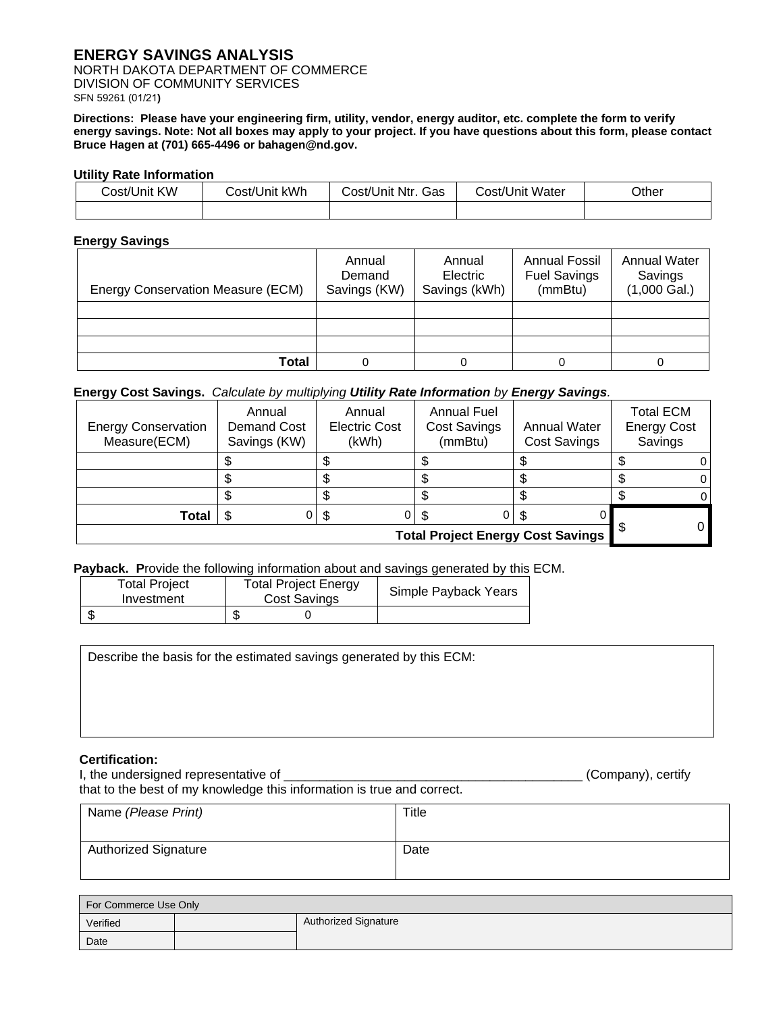# **ENERGY SAVINGS ANALYSIS**

NORTH DAKOTA DEPARTMENT OF COMMERCE DIVISION OF COMMUNITY SERVICES SFN 59261 (01/21**)**

**Directions: Please have your engineering firm, utility, vendor, energy auditor, etc. complete the form to verify energy savings. Note: Not all boxes may apply to your project. If you have questions about this form, please contact Bruce Hagen at (701) 665-4496 or bahagen@nd.gov.**

# **Utility Rate Information**

| Cost/Unit KW | Cost/Unit kWh | Cost/Unit Ntr. Gas | Cost/Unit Water | Other |
|--------------|---------------|--------------------|-----------------|-------|
|              |               |                    |                 |       |

# **Energy Savings**

| Energy Conservation Measure (ECM) | Annual<br>Demand<br>Savings (KW) | Annual<br>Electric<br>Savings (kWh) | <b>Annual Fossil</b><br><b>Fuel Savings</b><br>(mmBtu) | <b>Annual Water</b><br>Savings<br>$(1,000$ Gal.) |
|-----------------------------------|----------------------------------|-------------------------------------|--------------------------------------------------------|--------------------------------------------------|
|                                   |                                  |                                     |                                                        |                                                  |
|                                   |                                  |                                     |                                                        |                                                  |
|                                   |                                  |                                     |                                                        |                                                  |
| Total                             |                                  |                                     |                                                        |                                                  |

#### **Energy Cost Savings.** *Calculate by multiplying Utility Rate Information by Energy Savings.*

| <b>Energy Conservation</b><br>Measure(ECM) | Annual<br>Demand Cost<br>Savings (KW) | Annual<br><b>Electric Cost</b><br>(kWh) | <b>Annual Fuel</b><br><b>Cost Savings</b><br>(mmBtu) | <b>Annual Water</b><br><b>Cost Savings</b> | <b>Total ECM</b><br><b>Energy Cost</b><br>Savings |
|--------------------------------------------|---------------------------------------|-----------------------------------------|------------------------------------------------------|--------------------------------------------|---------------------------------------------------|
|                                            |                                       |                                         |                                                      |                                            |                                                   |
|                                            |                                       |                                         |                                                      |                                            |                                                   |
|                                            |                                       |                                         |                                                      |                                            |                                                   |
| Total                                      | 0                                     | - \$                                    |                                                      |                                            |                                                   |
| <b>Total Project Energy Cost Savings</b>   |                                       |                                         |                                                      |                                            |                                                   |

# **Payback. P**rovide the following information about and savings generated by this ECM.

| <b>Total Project</b><br>Investment | <b>Total Project Energy</b><br>Cost Savings | Simple Payback Years |
|------------------------------------|---------------------------------------------|----------------------|
|                                    |                                             |                      |

Describe the basis for the estimated savings generated by this ECM:

### **Certification:**

I, the undersigned representative of \_\_\_\_\_\_\_\_\_\_\_\_\_\_\_\_\_\_\_\_\_\_\_\_\_\_\_\_\_\_\_\_\_\_\_\_\_\_\_\_\_\_ (Company), certify that to the best of my knowledge this information is true and correct. Name *(Please Print)* Title

| Natile ( <i>Fiease Fility</i> | THE  |
|-------------------------------|------|
| <b>Authorized Signature</b>   | Date |

| For Commerce Use Only |  |                             |
|-----------------------|--|-----------------------------|
| Verified              |  | <b>Authorized Signature</b> |
| Date                  |  |                             |